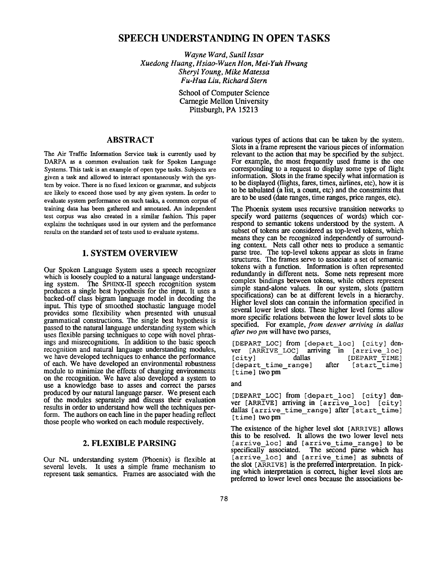# **SPEECH UNDERSTANDING IN OPEN TASKS**

*Wayne Ward, Sunil lssar Xuedong Huang, Hsiao-Wuen Hon, Mei-Yuh Hwang Sheryl Young, Mike Matessa Fu-Hua Liu, Richard Stern* 

> School of Computer Science Carnegie Mellon University Pittsburgh, PA 15213

## **ABSTRACT**

The Air Traffic Information Service task is currently used by DARPA as a common evaluation task for Spoken Language Systems. This task is an example of open type tasks. Subjects are given a task and allowed to interact spontaneously with the system by voice. There is no fixed lexicon or grammar, and subjects are likely to exceed those used by any given system. In order to evaluate system performance on such tasks, a common corpus of training data has been gathered and annotated. An independent test corpus was also created in a similar fashion. This paper explains the techniques used in our system and the performance results on the standard set of tests used to evaluate systems.

## **1. SYSTEM OVERVIEW**

Our Spoken Language System uses a speech recognizer which is loosely coupled to a natural language understanding system. The SPHINX-II speech recognition system produces a single best hypothesis for the input. It uses a backed-off class bigram language model in decoding the input. This type of smoothed stochastic language model provides some flexibility when presented with unusual grammatical constructions. The single best hypothesis is passed to the natural language understanding system which uses flexible parsing techniques to cope with novel phrasings and misrecognitions. In addition to the basic speech recognition and natural language understanding modules, we have developed techniques to enhance the performance of each. We have developed an environmental robustness module to minimize the effects of changing environments on the recognition. We have also developed a system to use a knowledge base to asses and correct the parses produced by our natural language parser. We present each of the modules separately and discuss their evaluation results in order to understand how well the techniques perform. The authors on each line in the paper heading reflect those people who worked on each module respectively.

#### **2. FLEXIBLE PARSING**

Our NL understanding system (Phoenix) is flexible at several levels. It uses a simple frame mechanism to represent task semantics. Frames are associated with the

various types of actions that can be taken by the system. Slots in a frame represent the various pieces of information relevant to the action that may be specified by the subject. For example, the most frequently used frame is the one corresponding to a request to display some type of flight information. Slots in the frame specify what information is to be displayed (flights, fares, times, airlines, etc), how it is to be tabulated (a list, a count, etc) and the constraints that are to be used (date ranges, time ranges, price ranges, etc).

The Phoenix system uses recursive transition networks to specify word patterns (sequences of words) which correspond to semantic tokens understood by the system. A subset of tokens are considered as top-level tokens, which means they can be recognized independently of surrounding context. Nets call other nets to produce a semantic parse tree. The top-level tokens appear as slots in frame structures. The frames serve to associate a set of semantic tokens with a function. Information is often represented redundantly in different nets. Some nets represent more complex bindings between tokens, while others represent simple stand-alone values. In our system, slots (pattern specifications) can be at different levels in a hierarchy. Higher level slots can contain the information specified in several lower level slots. These higher level forms allow more specific relations between the lower level slots to be specified. For example, *from denver arriving in dallas after two pm* will have two parses,

[DEPART\_LOC] from [depart\_loc] [city] den-<br>ver [ARRIVE LOC] arriving in [arrive loc] ver  $[ARTVE\_LOC]$  arriving in  $[city]$ [city] dallas [DEPART\_TIME]<br>[depart\_time\_range] after [start\_time] [depart time range] after [start\_time] [time] twopm

#### and

[DEPART LOC] from [depart loc] [city] denver [ARRIVE] arriving in [arrive loc] [city] dallas [arrive\_time\_range] after [start\_time] [time] two pm]

The existence of the higher level slot [ARRIVE] allows this to be resolved. It allows the two lower level nets [arrive loc] and [arrive\_time\_range] to be specifically associated. The second parse which has [arrive loc] and [arrive time] as subnets of the slot  $[ARTVE]$  is the preferred interpretation. In picking which interpretation is correct, higher level slots are preferred to lower level ones because the associations be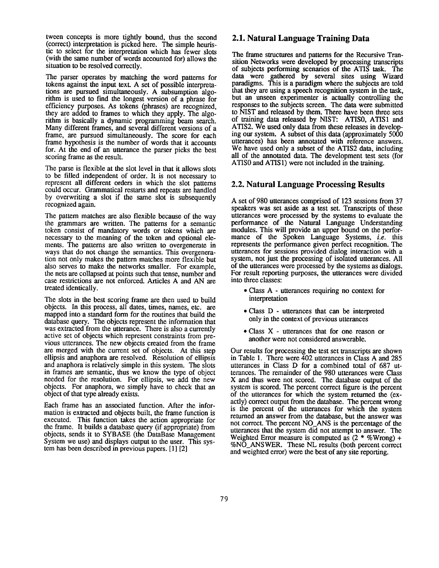tween concepts is more tightly bound, thus the second (correct) interpretation is picked here. The simple heuristic to select for the interpretation which has fewer slots (with the same number of words accounted for) allows the situation to be resolved correctly.

The parser operates by matching the word patterns for tokens against the input text. A set of possible interpretations are pursued simultaneously. A subsumption algorithm is used to find the longest version of a phrase for efficiency purposes. As tokens (phrases) are recognized, they are added to frames to which they apply. The algorithm is basically a dynamic programming beam search. Many different frames, and several different versions of a frame, are pursued simultaneously. The score for each frame hypothesis is the number of words that it accounts for. At the end of an utterance the parser picks the best scoring frame as the result.

The parse is flexible at the slot level in that it allows slots to be filled independent of order. It is not necessary to represent all different orders in which the slot patterns could occur. Grammatical restarts and repeats are handled by overwriting a slot if the same slot is subsequently recognized again.

The pattern matches are also flexible because of the way the grammars are written. The patterns for a semantic token consist of mandatory words or tokens which are necessary to the meaning of the token and optional elements. The patterns are also written to overgenerate in ways that do not change the semantics. This overgeneration not only makes the pattern matches more flexible but also serves to make the networks smaller. For example, the nets are collapsed at points such that tense, number and case restrictions are not enforced. Articles A and AN are treated identically.

The slots in the best scoring frame are then used to build objects. In this process, all dates, times, names, etc. are mapped into a standard form for the routines that build the database query. The objects represent the information that was extracted from the utterance. There is also a currently active set of objects which represent constraints from previous utterances. The new objects created from the frame are merged with the current set of objects. At this step ellipsis and anaphora are resolved. Resolution of ellipsis and anaphora is relatively simple in this system. The slots in frames are semantic, thus we know the type of object needed for the resolution. For ellipsis, we add the new objects. For anaphora, we simply have to check that an object of that type already exists.

Each frame has an associated function. After the information is extracted and objects built, the frame function is executed. This function takes the action appropriate for the frame. It builds a database query (if appropriate) from objects, sends it to SYBASE (the DataBase Management System we use) and displays output to the user. This system has been described in previous papers. [1] [2]

#### **2.1. Natural Language Training Data**

The frame structures and patterns for the Recursive Transition Networks were developed by processing transcripts of subjects performing scenarios of the ATIS task. The data were gathered by several sites using Wizard paradigms. This is a paradigm where the subjects are told that they are using a speech recognition system in the task, but an unseen experimenter is actually controlling the responses to the subjects screen. The data were submitted to NIST and released by them. There have been three sets of training data released by NIST: ATIS0, ATIS1 and ATIS2. We used only data from these releases in developing our system. A subset of this data (approximately 5000 utterances) has been annotated with reference answers. We have used only a subset of the ATIS2 data, including all of the annotated data. The development test sets (for ATIS0 and ATIS1) were not included in the training.

#### **2.2. Natural Language Processing Results**

A set of 980 utterances comprised of 123 sessions from 37 speakers was set aside as a test set. Transcripts of these utterances were processed by the systems to evaluate the performance of the Natural Language Understanding modules. This will provide an upper bound on the performance of the Spoken Language Systems, *i.e.* this represents the performance given perfect recognition. The utterances for sessions provided dialog interaction with a system, not just the processing of isolated utterances. All of the utterances were processed by the systems as dialogs. For result reporting purposes, the utterances were divided into three classes:

- Class A utterances requiring no context for interpretation
- Class D utterances that can be interpreted only in the context of previous utterances
- Class X utterances that for one reason or another were not considered answerable.

Our results for processing the test set transcripts are shown in Table 1. There were  $\overline{4}02$  utterances in Class A and 285 utterances in Class D for a combined total of 687 utterances. The remainder of the 980 utterances were Class X and thus were not scored. The database output of the system is scored. The percent correct figure is the percent of the utterances for which the system returned the (exactly) correct output from the database. The percent wrong is the percent of the utterances for which the system returned an answer from the database, but the answer was not correct. The percent NO\_ANS is the percentage of the utterances that the system did not attempt to answer. The Weighted Error measure is computed as  $(2 * %Wrong) +$ %NO\_ANSWER. These NL results (both percent correct and weighted error) were the best of any site reporting.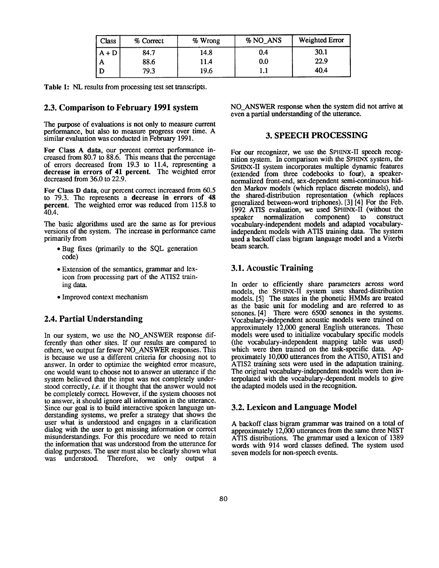| Class   | % Correct | $%$ Wrong | % NO_ANS | Weighted Error |
|---------|-----------|-----------|----------|----------------|
| $A + D$ | 84.7      | 14.8      | 0.4      | 30.1           |
| A       | 88.6      | 11.4      | 0.0      | 22.9           |
|         | 79.3      | 19.6      |          | 40.4           |

Table 1: NL results from processing test set transcripts.

#### **2.3. Comparison to February 1991 system**

The purpose of evaluations is not only to measure current performance, but also to measure progress over time. A similar evaluation was conducted in February 1991.

For Class A data, our percent correct performance increased from 80.7 to 88.6. This means that the percentage of errors decreased from 19.3 to 11.4, representing a **decrease in errors of 41 percent.** The weighted error decreased from 36.0 to 22.9.

For Class D data, our percent correct increased from 60.5 to 79.3. The represents a **decrease in errors of** 48 percent. The weighted error was reduced from 115.8 to 40.4.

The basic algorithms used are the same as for previous versions of the system. The increase in performance came primarily from

- Bug fixes (primarily to the SQL generation code)
- Extension of the semantics, grammar and lexicon from processing part of the ATIS2 training data.
- Improved context mechanism

## **2.4. Partial Understanding**

In our system, we use the NO ANSWER response differently than other sites. If our results are compared to others, we output far fewer NO\_ANSWER responses. This is because we use a different criteria for choosing not to answer. In order to optimize the weighted error measure, one would want to choose not to answer an utterance if the system believed that the input was not completely understood correctly, *i.e.* if it thought that the answer would not be completely correct. However, if the system chooses not to answer, it should ignore all information in the utterance. Since our goal is to build interactive spoken language understanding systems, we prefer a strategy that shows the user what is understood and engages in a clarification dialog with the user to get missing information or correct misunderstandings. For this procedure we need to retain the information that was understood from the utterance for dialog purposes. The user must also be clearly shown what was understood. Therefore, we only output a was understood.

NO\_ANSWER response when the system did not arrive **at**  even a partial understanding of the utterance.

### **3. SPEECH PROCESSING**

For our recognizer, we use the SPHINX-II speech recognition system. In comparison with the SPHINX system, the SPHINX-II system incorporates multiple dynamic features (extended from three codebooks to four), a speakernormalized front-end, sex-dependent semi-continuous hidden Markov models (which replace discrete models), and the shared-distribution representation (which replaces generalized between-word triphones). [3] [4] For the Feb. 1992 ATIS evaluation, we used SPHINX-II (without the speaker normalization component) to construct speaker normalization vocabulary-independent models and adapted vocabularyindependent models with ATIS training data. The system used a backoff class bigram language model and a Viterbi beam search.

## **3.1. Acoustic Training**

In order to efficiently share parameters across word models, the SPHINX-II system uses shared-distribution models. [5] The states in the phonetic HMMs are treated as the basic unit for modeling and are referred to as senones. [4] There were 6500 senones in the systems. Vocabulary-independent acoustic models were trained on approximately 12,000 general English utterances. These models were used to initialize vocabulary specific models (the vocabulary-independent mapping table was used) which were then trained on the task-specific data. Approximately 10,000 utterances from the ATIS0, ATIS1 and ATIS2 training sets were used in the adaptation training. The original vocabulary-independent models were then interpolated with the vocabulary-dependent models to give the adapted models used in the recognition.

#### **3.2. Lexicon and Language Model**

A backoff class bigram grammar was trained on a total of approximately 12,000 utterances from the same three NIST ATIS distributions. The grammar used a lexicon of 1389 words with 914 word classes defined. The system used seven models for non-speech events.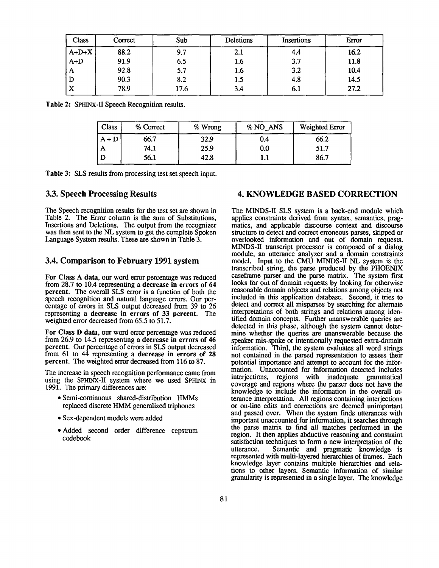| Class   | Correct | Sub  | Deletions | Insertions | Error |
|---------|---------|------|-----------|------------|-------|
| $A+D+X$ | 88.2    | 9.7  | 2.1       | 4.4        | 16.2  |
| $A+D$   | 91.9    | 6.5  | 1.6       | 3.7        | 11.8  |
| A       | 92.8    | 5.7  | 1.6       | 3.2        | 10.4  |
| D       | 90.3    | 8.2  | 1.5       | 4.8        | 14.5  |
| X       | 78.9    | 17.6 | 3.4       | 6.1        | 27.2  |

**Table 2:** SPHINX-II Speech Recognition results.

| <b>Class</b> | % Correct | % Wrong | % NO_ANS | Weighted Error |
|--------------|-----------|---------|----------|----------------|
| $A + D$      | 66.7      | 32.9    | 0.4      | 66.2           |
| А            | 74.1      | 25.9    | 0.0      | 51.7           |
|              | 56.1      | 42.8    | 1.1      | 86.7           |

**Table** 3: SLS results from processing test set speech input.

The Speech recognition results for the test set are shown in Table 2. The Error column is the sum of Substitutions, Insertions and Deletions. The output from the recognizer was then sent to the NL system to get the complete Spoken Language System results. These are shown in Table 3.

#### **3.4. Comparison to February 1991 system**

For Class A data, our word error percentage was reduced from 28.7 to 10.4 representing a decrease in errors of 64 percent. The overall SLS error is a function of both the speech recognition and natural language errors. Our percentage of errors in SLS output decreased from 39 to 26 representing a decrease in errors of 33 percent. The weighted error decreased from 65.5 to 51.7.

For Class D data, our word error percentage was reduced from 26.9 to 14.5 representing a decrease in errors of 46 percent. Our percentage of errors in SLS output decreased from 61 to 44 representing a decrease in errors of 28 percent. The weighted error decreased from 116 to 87.

The increase in speech recognition performance came from using the SPHINX-II system where we used SPHINX in 1991. The primary differences are:

- Semi-continuous shared-distribution HMMs replaced discrete HMM generalized triphones
- Sex-dependent models were added
- Added second order difference cepstrum codebook

## **3.3. Speech Processing Results** 4. KNOWLEDGE BASED CORRECTION

The MINDS-II SLS system is a back-end module which applies constraints derived from syntax, semantics, pragmatics, and applicable discourse context and discourse structure to detect and correct erroneous parses, skipped or overlooked information and out of domain requests. MINDS-II transcript processor is composed of a dialog module, an utterance analyzer and a domain constraints model. Input to the CMU MINDS-II NL system is the transcribed string, the parse produced by the PHOENIX caseframe parser and the parse matrix. The system first looks for out of domain requests by looking for otherwise reasonable domain objects and relations among objects not included in this application database. Second, it tries to detect and correct all misparses by searching for alternate interpretations of both strings and relations among identified domain concepts. Further unanswerable queries are detected in this phase, although the system cannot determine whether the queries are unanswerable because the speaker mis-spoke or intentionally requested extra-domain information. Third, the system evaluates all word strings not contained in the parsed representation to assess their potential importance and attempt to account for the information. Unaccounted for information detected includes interjections, regions with inadequate grammatical coverage and regions where the parser does not have the knowledge to include the information in the overall utterance interpretation. All regions containing interjections or on-line edits and corrections are deemed unimportant and passed over. When the system finds utterances with important unaccounted for information, it searches through the parse matrix to find all matches performed in the region. It then applies abductive reasoning and constraint satisfaction techniques to form a new interpretation of the utterance. Semantic and pragmatic knowledge is Semantic and pragmatic knowledge is represented with multi-layered hierarchies of frames. Each knowledge layer contains multiple hierarchies and relations to other layers. Semantic information of similar granularity is represented in a single layer. The knowledge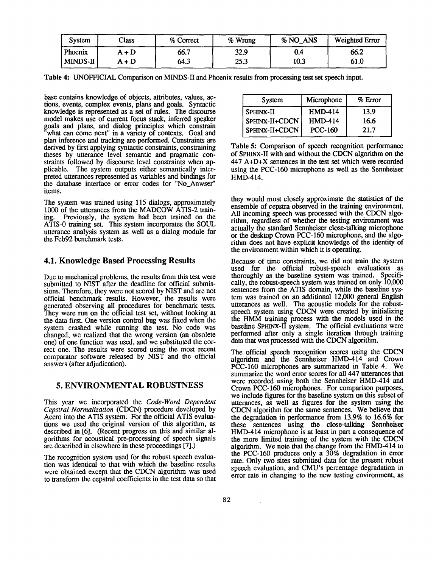| <b>System</b> | Class | % Correct | % Wrong | % NO_ANS | Weighted Error |
|---------------|-------|-----------|---------|----------|----------------|
| Phoenix       | A + D | 66.7      | 32.9    | 0.4      | 66.2           |
| MINDS-II      | A + D | 64.3      | 25.3    | 10.3     | 61.0           |

Table 4: UNOFFICIAL Comparison on MINDS-II and Phoenix results from processing test set speech input.

base contains knowledge of objects, attributes, values, actions, events, complex events, plans and goals. Syntactic knowledge is represented as a set of rules. The discourse model makes use of current focus stack, inferred speaker goals and plans, and dialog principles which constrain 'what can come next" in a variety of contexts. Goal and plan inference and tracking are performed. Constraints are derived by first applying syntactic constraints, constraining theses by utterance level semantic and pragmatic constraints followed by discourse level constraints when applicable. The system outputs either semantically interpreted utterances represented as variables and bindings for the database interface or error codes for "No\_Anwser" items.

The system was trained using 115 dialogs, approximately 1000 of the utterances from the MADCOW ATIS-2 training. Previously, the system had been trained on the ATIS-0 training set. This system incorporates the SOUL utterance analysis system as well as a dialog module for the Feb92 benchmark tests.

### **4.1. Knowledge Based Processing Results**

Due to mechanical problems, the results from this test were submitted to NIST after the deadline for official submissions. Therefore, they were not scored by NIST and are not official benchmark results. However, the results were generated observing all procedures for benchmark tests. They were run on the official test set, without looking at the data first. One version control bug was fixed when the system crashed while running the test. No code was changed, we realized that the wrong version (an obsolete one) of one function was used, and we substituted the correct one. The results were scored using the most recent comparator software released by NIST and the official answers (after adjudication).

## 5. ENVIRONMENTAL ROBUSTNESS

This year we incorporated the *Code-Word Dependent Cepstral Normalization* (CDCN) procedure developed by Acero into the ATIS system. For the official ATIS evaluations we used the original version of this algorithm, as described in [6]. (Recent progress on this and similar algorithms for acoustical pre-processing of speech signals are described in elsewhere in these proceedings [7].)

The recognition system used for the robust speech evaluation was identical to that with which the baseline results were obtained except that the CDCN algorithm was used to transform the cepstral coefficients in the test data so that

| System         | Microphone     | $%$ Error |
|----------------|----------------|-----------|
| SPHINX-II      | <b>HMD-414</b> | 13.9      |
| SPHINX-II+CDCN | <b>HMD-414</b> | 16.6      |
| SPHINX-II+CDCN | <b>PCC-160</b> | 21.7      |

**Table 5:** Comparison of speech recognition performance of SPHINX-II with and without the CDCN algorithm on the 447 A+D+X sentences in the test set which were recorded using the PCC-160 microphone as well as the Sennheiser HMD-414.

they would most closely approximate the statistics of the ensemble of cepstra observed in the training environment. All incoming speech was processed with the CDCN algorithm, regardless of whether the testing environment was actually the standard Sennheiser close-talking microphone or the desktop Crown PCC-160 microphone, and the algorithm does not have explicit knowledge of the identity of the environment within which it is operating.

Because of time constraints, we did not train the system used for the official robust-speech evaluations as thoroughly as the baseline system was trained. Specifically, the robust-speech system was trained on only 10,000 sentences from the ATIS domain, while the baseline system was trained on an additional 12,000 general English utterances as well. The acoustic models for the robustspeech system using CDCN were created by initializing the HMM training process with the models used in the baseline SPmNX-II system. The official evaluations were performed after only a single iteration through training data that was processed with the CDCN algorithm.

The official speech recognition scores using the CDCN algorithm and the Sennheiser HMD-414 and Crown PCC-160 microphones are summarized in Table 4. We summarize the word error scores for all 447 utterances that were recorded using both the Sennheiser HMD-414 and Crown PCC-160 microphones. For comparison purposes, we include figures for the baseline system on this subset of utterances, as well as figures for the system using the CDCN algorithm for the same sentences. We believe that the degradation in performance from 13.9% to 16.6% for these sentences using the close-talking Sennheiser HMD-414 microphone is at least in part a consequence of the more limited training of the system with the CDCN algorithm. We note that the change from the HMD-414 to the PCC-160 produces only a 30% degradation in error rate. Only two sites submitted data for the present robust speech evaluation, and CMU's percentage degradation in error rate in changing to the new testing environment, as